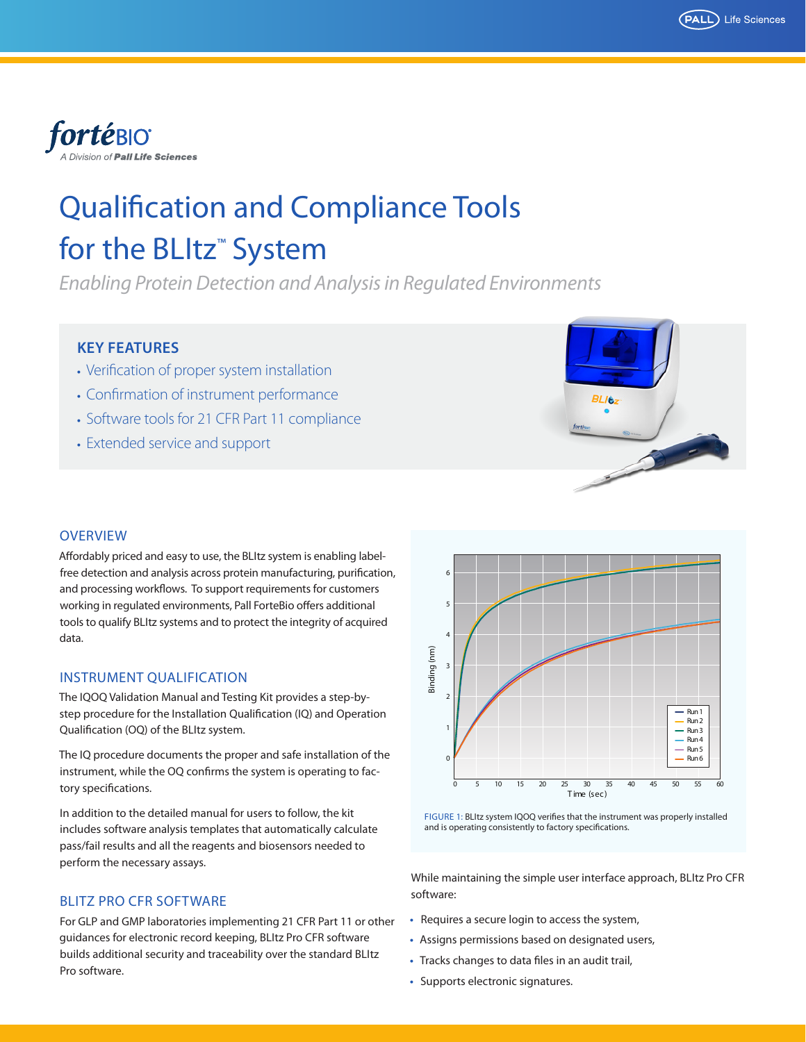



# Qualification and Compliance Tools for the BLItz<sup>™</sup> System

*Enabling Protein Detection and Analysis in Regulated Environments*

## **KEY FEATURES**

- **•** Verification of proper system installation
- **•** Confirmation of instrument performance
- **•** Software tools for 21 CFR Part 11 compliance
- **•** Extended service and support



## **OVERVIEW**

Affordably priced and easy to use, the BLItz system is enabling labelfree detection and analysis across protein manufacturing, purification, and processing workflows. To support requirements for customers working in regulated environments, Pall ForteBio offers additional tools to qualify BLItz systems and to protect the integrity of acquired data.

#### INSTRUMENT QUALIFICATION

The IQOQ Validation Manual and Testing Kit provides a step-bystep procedure for the Installation Qualification (IQ) and Operation Qualification (OQ) of the BLItz system.

The IQ procedure documents the proper and safe installation of the instrument, while the OQ confirms the system is operating to factory specifications.

In addition to the detailed manual for users to follow, the kit includes software analysis templates that automatically calculate pass/fail results and all the reagents and biosensors needed to perform the necessary assays.

#### BLITZ PRO CFR SOFTWARE

For GLP and GMP laboratories implementing 21 CFR Part 11 or other guidances for electronic record keeping, BLItz Pro CFR software builds additional security and traceability over the standard BLItz Pro software.





While maintaining the simple user interface approach, BLItz Pro CFR software:

- **•** Requires a secure login to access the system,
- **•** Assigns permissions based on designated users,
- **•** Tracks changes to data files in an audit trail,
- **•** Supports electronic signatures.